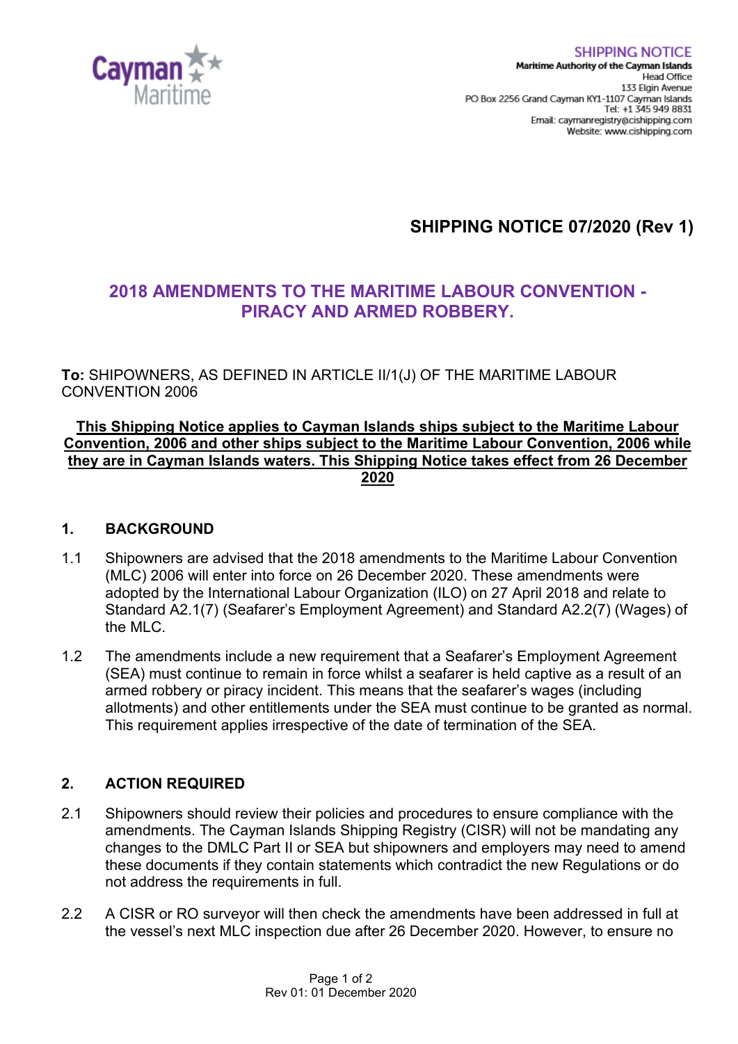

# **SHIPPING NOTICE 07/2020 (Rev 1)**

## **2018 AMENDMENTS TO THE MARITIME LABOUR CONVENTION - PIRACY AND ARMED ROBBERY.**

**To:** SHIPOWNERS, AS DEFINED IN ARTICLE II/1(J) OF THE MARITIME LABOUR CONVENTION 2006

#### **This Shipping Notice applies to Cayman Islands ships subject to the Maritime Labour Convention, 2006 and other ships subject to the Maritime Labour Convention, 2006 while they are in Cayman Islands waters. This Shipping Notice takes effect from 26 December 2020**

#### **1. BACKGROUND**

- 1.1 Shipowners are advised that the 2018 amendments to the Maritime Labour Convention (MLC) 2006 will enter into force on 26 December 2020. These amendments were adopted by the International Labour Organization (ILO) on 27 April 2018 and relate to Standard A2.1(7) (Seafarer's Employment Agreement) and Standard A2.2(7) (Wages) of the MLC.
- 1.2 The amendments include a new requirement that a Seafarer's Employment Agreement (SEA) must continue to remain in force whilst a seafarer is held captive as a result of an armed robbery or piracy incident. This means that the seafarer's wages (including allotments) and other entitlements under the SEA must continue to be granted as normal. This requirement applies irrespective of the date of termination of the SEA.

### **2. ACTION REQUIRED**

- 2.1 Shipowners should review their policies and procedures to ensure compliance with the amendments. The Cayman Islands Shipping Registry (CISR) will not be mandating any changes to the DMLC Part II or SEA but shipowners and employers may need to amend these documents if they contain statements which contradict the new Regulations or do not address the requirements in full.
- 2.2 A CISR or RO surveyor will then check the amendments have been addressed in full at the vessel's next MLC inspection due after 26 December 2020. However, to ensure no